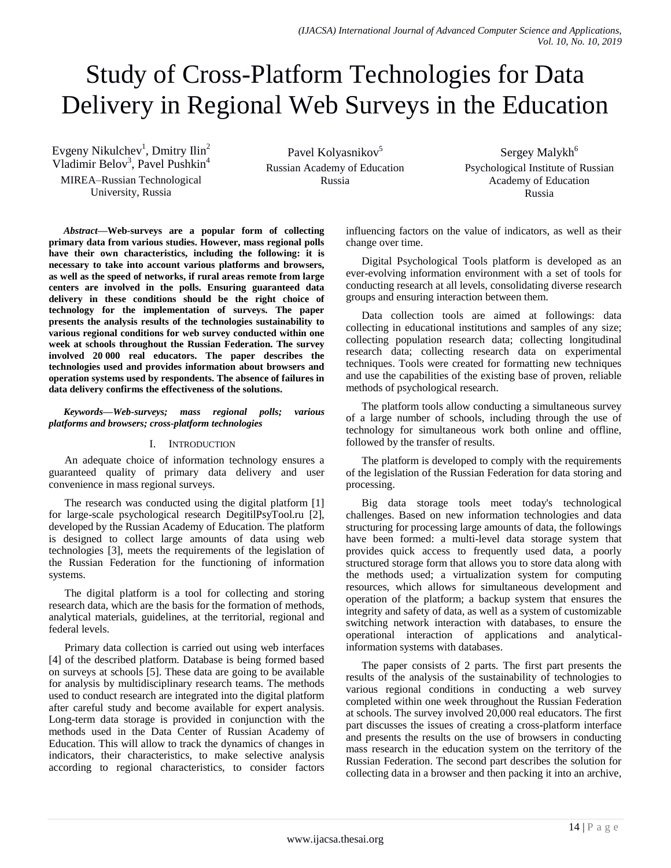# Study of Cross-Platform Technologies for Data Delivery in Regional Web Surveys in the Education

Evgeny Nikulchev<sup>1</sup>, Dmitry Ilin<sup>2</sup> Vladimir Belov<sup>3</sup>, Pavel Pushkin<sup>4</sup> MIREA–Russian Technological University, Russia

Pavel Kolyasnikov<sup>5</sup> Russian Academy of Education Russia

Sergey Malykh<sup>6</sup> Psychological Institute of Russian Academy of Education Russia

*Abstract***—Web-surveys are a popular form of collecting primary data from various studies. However, mass regional polls have their own characteristics, including the following: it is necessary to take into account various platforms and browsers, as well as the speed of networks, if rural areas remote from large centers are involved in the polls. Ensuring guaranteed data delivery in these conditions should be the right choice of technology for the implementation of surveys. The paper presents the analysis results of the technologies sustainability to various regional conditions for web survey conducted within one week at schools throughout the Russian Federation. The survey involved 20 000 real educators. The paper describes the technologies used and provides information about browsers and operation systems used by respondents. The absence of failures in data delivery confirms the effectiveness of the solutions.**

*Keywords—Web-surveys; mass regional polls; various platforms and browsers; cross-platform technologies*

# I. INTRODUCTION

An adequate choice of information technology ensures a guaranteed quality of primary data delivery and user convenience in mass regional surveys.

The research was conducted using the digital platform [1] for large-scale psychological research DegitilPsyTool.ru [2], developed by the Russian Academy of Education. The platform is designed to collect large amounts of data using web technologies [3], meets the requirements of the legislation of the Russian Federation for the functioning of information systems.

The digital platform is a tool for collecting and storing research data, which are the basis for the formation of methods, analytical materials, guidelines, at the territorial, regional and federal levels.

Primary data collection is carried out using web interfaces [4] of the described platform. Database is being formed based on surveys at schools [5]. These data are going to be available for analysis by multidisciplinary research teams. The methods used to conduct research are integrated into the digital platform after careful study and become available for expert analysis. Long-term data storage is provided in conjunction with the methods used in the Data Center of Russian Academy of Education. This will allow to track the dynamics of changes in indicators, their characteristics, to make selective analysis according to regional characteristics, to consider factors influencing factors on the value of indicators, as well as their change over time.

Digital Psychological Tools platform is developed as an ever-evolving information environment with a set of tools for conducting research at all levels, consolidating diverse research groups and ensuring interaction between them.

Data collection tools are aimed at followings: data collecting in educational institutions and samples of any size; collecting population research data; collecting longitudinal research data; collecting research data on experimental techniques. Tools were created for formatting new techniques and use the capabilities of the existing base of proven, reliable methods of psychological research.

The platform tools allow conducting a simultaneous survey of a large number of schools, including through the use of technology for simultaneous work both online and offline, followed by the transfer of results.

The platform is developed to comply with the requirements of the legislation of the Russian Federation for data storing and processing.

Big data storage tools meet today's technological challenges. Based on new information technologies and data structuring for processing large amounts of data, the followings have been formed: a multi-level data storage system that provides quick access to frequently used data, a poorly structured storage form that allows you to store data along with the methods used; a virtualization system for computing resources, which allows for simultaneous development and operation of the platform; a backup system that ensures the integrity and safety of data, as well as a system of customizable switching network interaction with databases, to ensure the operational interaction of applications and analyticalinformation systems with databases.

The paper consists of 2 parts. The first part presents the results of the analysis of the sustainability of technologies to various regional conditions in conducting a web survey completed within one week throughout the Russian Federation at schools. The survey involved 20,000 real educators. The first part discusses the issues of creating a cross-platform interface and presents the results on the use of browsers in conducting mass research in the education system on the territory of the Russian Federation. The second part describes the solution for collecting data in a browser and then packing it into an archive,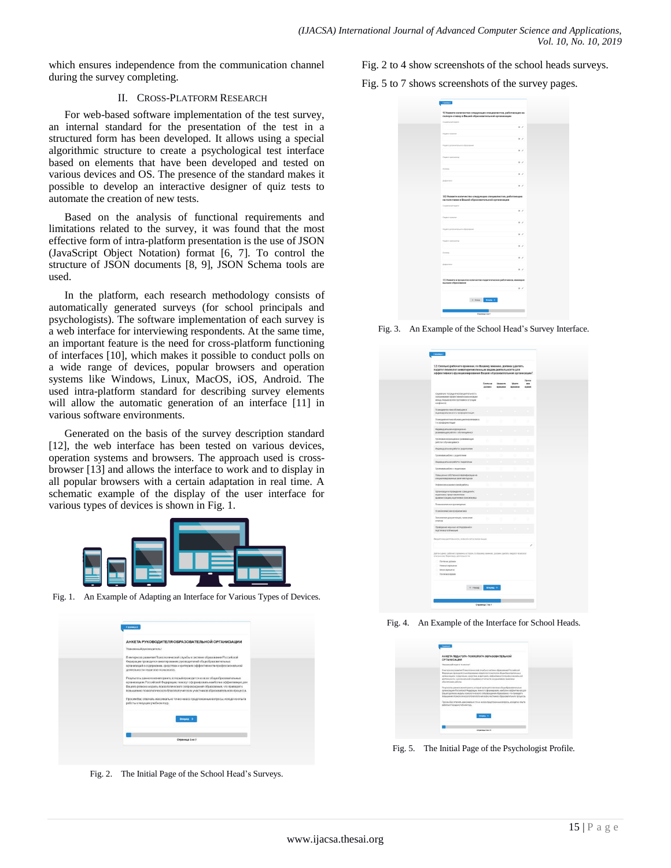which ensures independence from the communication channel during the survey completing.

# II. CROSS-PLATFORM RESEARCH

For web-based software implementation of the test survey, an internal standard for the presentation of the test in a structured form has been developed. It allows using a special algorithmic structure to create a psychological test interface based on elements that have been developed and tested on various devices and OS. The presence of the standard makes it possible to develop an interactive designer of quiz tests to automate the creation of new tests.

Based on the analysis of functional requirements and limitations related to the survey, it was found that the most effective form of intra-platform presentation is the use of JSON (JavaScript Object Notation) format [6, 7]. To control the structure of JSON documents [8, 9], JSON Schema tools are used.

In the platform, each research methodology consists of automatically generated surveys (for school principals and psychologists). The software implementation of each survey is a web interface for interviewing respondents. At the same time, an important feature is the need for cross-platform functioning of interfaces [10], which makes it possible to conduct polls on a wide range of devices, popular browsers and operation systems like Windows, Linux, MacOS, iOS, Android. The used intra-platform standard for describing survey elements will allow the automatic generation of an interface [11] in various software environments.

Generated on the basis of the survey description standard [12], the web interface has been tested on various devices, operation systems and browsers. The approach used is crossbrowser [13] and allows the interface to work and to display in all popular browsers with a certain adaptation in real time. A schematic example of the display of the user interface for various types of devices is shown in Fig. 1.



Fig. 1. An Example of Adapting an Interface for Various Types of Devices.

| АНКЕТА РУКОВОДИТЕЛЯ ОБРАЗОВАТЕЛЬНОЙ ОРГАНИЗАЦИИ                                                                                                                                                                                                                                                                                              |
|----------------------------------------------------------------------------------------------------------------------------------------------------------------------------------------------------------------------------------------------------------------------------------------------------------------------------------------------|
| Уважаемый руководитель!                                                                                                                                                                                                                                                                                                                      |
| В интересах развития Психологической службы в системе образования Российской<br>Федерации проводится анкетирование руководителей общеобразовательных<br>организаций о содержании, средствах и критериях эффективности профессиональной<br>деятельности педагогов-психологов.                                                                 |
| Результаты данного мониторинга, который проводится во всех общеобразовательных<br>организациях Российской Федерации, помогут сформировать наиболее эффективную для<br>Вашего региона модель психологического сопровождения образования, что приведет к<br>повышению психологического благополучия всех участников образовательного процесса. |
| Просим Вас отвечать максимально точно на все предложенные вопросы, исходя из опыта<br>работы в текущем учебном году.                                                                                                                                                                                                                         |
| <b>Beepen!</b>                                                                                                                                                                                                                                                                                                                               |
| Страница 1 из 9                                                                                                                                                                                                                                                                                                                              |

Fig. 2. The Initial Page of the School Head's Surveys.

Fig. 2 to 4 show screenshots of the school heads surveys.

Fig. 5 to 7 shows screenshots of the survey pages.

| 9) Указанте количество следующих специалистов, работающих на<br>полную ставку в Вашей образовательной организации |                   |  |
|-------------------------------------------------------------------------------------------------------------------|-------------------|--|
| Courant-salintaans:                                                                                               |                   |  |
|                                                                                                                   | $x = 1$           |  |
| Departy economy                                                                                                   |                   |  |
|                                                                                                                   | $\mathbb{R}$ ./   |  |
| Педагог дологическихот образования                                                                                |                   |  |
|                                                                                                                   | x                 |  |
| Педагог организатор                                                                                               |                   |  |
|                                                                                                                   | $11 - 7$          |  |
| <b>Joronsa</b>                                                                                                    |                   |  |
|                                                                                                                   | k                 |  |
| Internet                                                                                                          |                   |  |
|                                                                                                                   | $\mathbb{R}$      |  |
|                                                                                                                   |                   |  |
| 10) Укажите количество следующих специалистов, работающих                                                         |                   |  |
| на полставки в Вашей образовательной организации                                                                  |                   |  |
| Социальный герагог                                                                                                |                   |  |
|                                                                                                                   | $\mathbb{R}$      |  |
| Fingaron-riciogener                                                                                               |                   |  |
|                                                                                                                   | $27 - 7$          |  |
| Гедагог дологическимого образования                                                                               |                   |  |
|                                                                                                                   | $\sim$            |  |
| Гедалог-организатор                                                                                               |                   |  |
|                                                                                                                   | $x \neq$          |  |
| <b>Foronic</b>                                                                                                    |                   |  |
|                                                                                                                   | 1/2               |  |
|                                                                                                                   |                   |  |
| Дефектатат                                                                                                        |                   |  |
|                                                                                                                   | $x \neq$          |  |
| 11) Укажите в процентах количество педагогических работников, имеющих                                             |                   |  |
| высшее образование                                                                                                |                   |  |
|                                                                                                                   | $\kappa$ $\times$ |  |
|                                                                                                                   |                   |  |
| 6 Hours Drepts &                                                                                                  |                   |  |
|                                                                                                                   |                   |  |

Fig. 3. An Example of the School Head's Survey Interface.

| 12) Сколько рабочего времени, по Вашему мнению, должен уделять<br>педагог-психолог нижеперечисленным видам деятельности для<br>эффективного функционирования Вашей образовательной организации?             |                    |                           |                  |                        |
|-------------------------------------------------------------------------------------------------------------------------------------------------------------------------------------------------------------|--------------------|---------------------------|------------------|------------------------|
|                                                                                                                                                                                                             | Почти не<br>должен | <b>Newsers</b><br>времени | Moore<br>speween | Почти<br>n(n)<br>apeun |
| Социально посредническая деятельность<br>(напакивание эффективной коммуникации<br>можду лидыми клизи группами в ситуации<br>конфликта)                                                                      | $\sim$             | zv.                       | ń                | C.                     |
| Появранатностика обичающихся<br>индивидуальная, я т/ч проформичтация                                                                                                                                        |                    |                           |                  |                        |
| Появдиательна обучающиеся групповая: в<br>ти проформентация                                                                                                                                                 | ь                  | b                         | ö                |                        |
| Индивидуальная поррекционно-<br>развивающая работа с обучающимися                                                                                                                                           |                    |                           |                  |                        |
| Групповая коррекционно развивающая<br>работа с обучающением                                                                                                                                                 | è                  | ۸                         | ×                |                        |
| Индивидуальная работа с родилелями                                                                                                                                                                          |                    |                           |                  |                        |
| Групповая работа с родителями                                                                                                                                                                               | ö                  | o                         | o                |                        |
| Индивидывлыная работа с педагогами                                                                                                                                                                          |                    |                           |                  |                        |
| Групповая работа с педагогами                                                                                                                                                                               | ö                  | ö                         | ö                |                        |
| Повышение собственной евапификации на<br>специализированных занятиях/чурски                                                                                                                                 |                    |                           |                  |                        |
| Рефляксия и внализ своей работы                                                                                                                                                                             | 6                  | ö                         | ö                |                        |
| Организация и проведение совещаний с<br>педагогами, представителеми<br>администриции, родителями (консилизмы)                                                                                               |                    |                           |                  |                        |
| Появление просвещения                                                                                                                                                                                       | o                  | ö                         | n                |                        |
| Покиселогическая профилактика                                                                                                                                                                               |                    |                           |                  |                        |
| Заполнение документации, натисание<br>cryerios                                                                                                                                                              | n                  | ó                         | d                |                        |
| Проведение научных исследований и<br>годготовка тубликаций                                                                                                                                                  |                    |                           |                  |                        |
| Богдите вид деятельности, если епзнет в списке выше                                                                                                                                                         |                    |                           |                  |                        |
|                                                                                                                                                                                                             |                    |                           |                  |                        |
| Дайте оценту рабочего премени, которое, по Вашему мнению, должен уделять ледатог-похоллог<br>отноанному (бакин внду деятельности<br>C flowle additions<br>- нимеровремени<br>Много времени<br>Полявся время |                    |                           |                  |                        |
| $6$ Hasa                                                                                                                                                                                                    | <b>Brepig +</b>    |                           |                  |                        |
|                                                                                                                                                                                                             |                    |                           |                  |                        |
|                                                                                                                                                                                                             | Страница 7 из 9    |                           |                  |                        |

Fig. 4. An Example of the Interface for School Heads.

| Comman                                                                                                                                                                                                                                                                                                                                                                                                                                                                                                                                                                                                                                                                                                                                                                                                                                                                                                                      |
|-----------------------------------------------------------------------------------------------------------------------------------------------------------------------------------------------------------------------------------------------------------------------------------------------------------------------------------------------------------------------------------------------------------------------------------------------------------------------------------------------------------------------------------------------------------------------------------------------------------------------------------------------------------------------------------------------------------------------------------------------------------------------------------------------------------------------------------------------------------------------------------------------------------------------------|
| АНКЕТА ПЕДАГОГА-ПСИХОЛОГА ОБРАЗОВАТЕЛЬНОЙ<br><b>ОРГАНИЗАЦИИ</b><br>Visionsmall request examined<br>В желароски развития Пожиловической студебы в систему образование Российской<br>Федерации проводится днастирования педагогов пожелента общеобразовализочких<br>(SERANGEAN) CONSULTANCE CREDITION IN IDENTIFIES AND RETURNING TO CONSULTANCE AND<br>дактывыкости, прегизациылой спацифика спчетности и однастализо правовали<br>ofactorages referre.<br>Регультаты данного моменджита, который произделся во всех общеобразовательных<br>организациях Российской Федерации, помогут оформировать наиболее эффективную для<br>Вашего релиона модель пожологического сопровождения образования, что приведет к<br>повышение похологического благополучия всех участников образовательного процесса.<br>Просим Вас отвечеть межсинально точки на все предпоженные вопросы, исходя из ольга<br>работы в текущем учебнем торь. |
| fresta 1<br>Ставница 1 из 55                                                                                                                                                                                                                                                                                                                                                                                                                                                                                                                                                                                                                                                                                                                                                                                                                                                                                                |

Fig. 5. The Initial Page of the Psychologist Profile.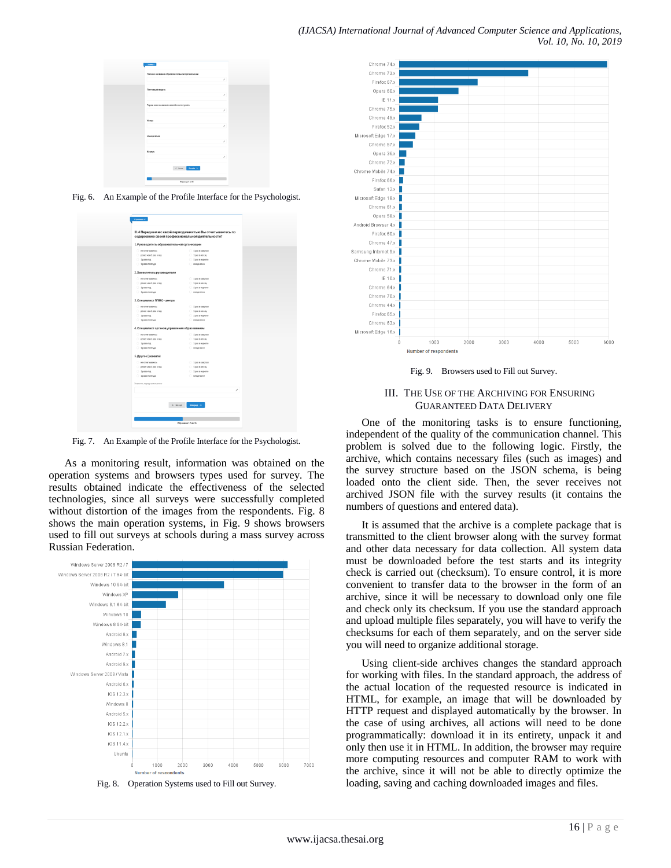| $C_2$ and $C_3$                             |
|---------------------------------------------|
| Полное название образовательной организации |
| v                                           |
| Почтовый индекс                             |
| $\mathcal{S}$                               |
|                                             |
| Город или название населённого пункта       |
| ,                                           |
| <b>Yinese</b>                               |
| ×                                           |
|                                             |
| Номер дома<br>$\mathcal{S}$                 |
|                                             |
| Kopnyc                                      |
| $\mathcal{S}$                               |
| $6$ House $-$ Rooms $+$                     |
| Страница 3 из 35                            |

Fig. 6. An Example of the Profile Interface for the Psychologist.

|                                               | III.4 Перед кем и с какой периодичностью Вы отчитываетесь по |   |
|-----------------------------------------------|--------------------------------------------------------------|---|
|                                               | содержанию своей профессиональной деятельности?              |   |
| 1. Руководитель образовательной организации   |                                                              |   |
| с не отчизанию.                               | $2.1$ pass reagram                                           |   |
| <b>реже, чем 1 разв год</b>                   | $-1$ pass mecny                                              |   |
| 21 <sub>px3810d</sub>                         | $-1$ pass неделю                                             |   |
| $2$ pass nonrogal                             | с еждневно                                                   |   |
| 2. Заместитель руководителя                   |                                                              |   |
| C не отчетываюсь                              | $C$ 1 pass magran                                            |   |
| pese, yes 1 pays rig.                         | $-1$ pass mecky                                              |   |
| $2.1$ pass rop                                | ○ 1 разв надалю                                              |   |
| 3 раз в полгода                               | с еждневно                                                   |   |
| 3. Специалист ППМС-центра                     |                                                              |   |
| е египиато.                                   | $-1$ pass reagram                                            |   |
| реже, чем 1 разв год                          | $-1$ pass MODILE                                             |   |
| 3 развлад                                     | $1$ pass неделю                                              |   |
| $-10000000000$                                | с еждневно                                                   |   |
| 4. Специалист органов управления образованием |                                                              |   |
| $\Box$ не отчитываюсь                         | $1$ pass reagram                                             |   |
| <b>реже, чем 1 развита</b>                    | 3 дважности                                                  |   |
| 20.10800000                                   | $-1$ pass regene                                             |   |
| $-1$ pas a nonrogal                           | с еждневно                                                   |   |
|                                               |                                                              |   |
| 5. Другое (укажите)                           |                                                              |   |
| C не отчетываюсь                              | $2$ tease section                                            |   |
| премерчен 1 разв год                          | $-10000$ MeCRL                                               |   |
| 2.19838700                                    | $-1$ pass неделю                                             |   |
| $2$ pass nonroaa                              | с еждневно                                                   |   |
| Укажито, поред ком именно                     |                                                              |   |
|                                               |                                                              | v |
|                                               |                                                              |   |
|                                               | Вперед →<br>6 Назад                                          |   |
|                                               |                                                              |   |
|                                               |                                                              |   |
|                                               | Pressures 17 us 95                                           |   |
|                                               |                                                              |   |

Fig. 7. An Example of the Profile Interface for the Psychologist.

As a monitoring result, information was obtained on the operation systems and browsers types used for survey. The results obtained indicate the effectiveness of the selected technologies, since all surveys were successfully completed without distortion of the images from the respondents. Fig. 8 shows the main operation systems, in Fig. 9 shows browsers used to fill out surveys at schools during a mass survey across Russian Federation.



Fig. 8. Operation Systems used to Fill out Survey.



Fig. 9. Browsers used to Fill out Survey.

## III. THE USE OF THE ARCHIVING FOR ENSURING GUARANTEED DATA DELIVERY

One of the monitoring tasks is to ensure functioning, independent of the quality of the communication channel. This problem is solved due to the following logic. Firstly, the archive, which contains necessary files (such as images) and the survey structure based on the JSON schema, is being loaded onto the client side. Then, the sever receives not archived JSON file with the survey results (it contains the numbers of questions and entered data).

It is assumed that the archive is a complete package that is transmitted to the client browser along with the survey format and other data necessary for data collection. All system data must be downloaded before the test starts and its integrity check is carried out (checksum). To ensure control, it is more convenient to transfer data to the browser in the form of an archive, since it will be necessary to download only one file and check only its checksum. If you use the standard approach and upload multiple files separately, you will have to verify the checksums for each of them separately, and on the server side you will need to organize additional storage.

Using client-side archives changes the standard approach for working with files. In the standard approach, the address of the actual location of the requested resource is indicated in HTML, for example, an image that will be downloaded by HTTP request and displayed automatically by the browser. In the case of using archives, all actions will need to be done programmatically: download it in its entirety, unpack it and only then use it in HTML. In addition, the browser may require more computing resources and computer RAM to work with the archive, since it will not be able to directly optimize the loading, saving and caching downloaded images and files.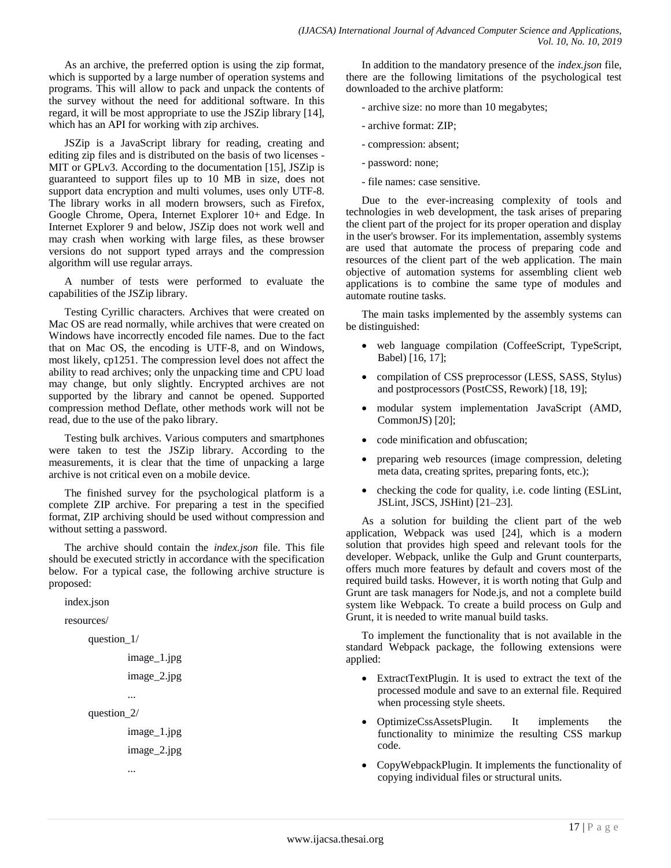As an archive, the preferred option is using the zip format, which is supported by a large number of operation systems and programs. This will allow to pack and unpack the contents of the survey without the need for additional software. In this regard, it will be most appropriate to use the JSZip library [14], which has an API for working with zip archives.

JSZip is a JavaScript library for reading, creating and editing zip files and is distributed on the basis of two licenses - MIT or GPLv3. According to the documentation [15], JSZip is guaranteed to support files up to 10 MB in size, does not support data encryption and multi volumes, uses only UTF-8. The library works in all modern browsers, such as Firefox, Google Chrome, Opera, Internet Explorer 10+ and Edge. In Internet Explorer 9 and below, JSZip does not work well and may crash when working with large files, as these browser versions do not support typed arrays and the compression algorithm will use regular arrays.

A number of tests were performed to evaluate the capabilities of the JSZip library.

Testing Cyrillic characters. Archives that were created on Mac OS are read normally, while archives that were created on Windows have incorrectly encoded file names. Due to the fact that on Mac OS, the encoding is UTF-8, and on Windows, most likely, cp1251. The compression level does not affect the ability to read archives; only the unpacking time and CPU load may change, but only slightly. Encrypted archives are not supported by the library and cannot be opened. Supported compression method Deflate, other methods work will not be read, due to the use of the pako library.

Testing bulk archives. Various computers and smartphones were taken to test the JSZip library. According to the measurements, it is clear that the time of unpacking a large archive is not critical even on a mobile device.

The finished survey for the psychological platform is a complete ZIP archive. For preparing a test in the specified format, ZIP archiving should be used without compression and without setting a password.

The archive should contain the *index.json* file. This file should be executed strictly in accordance with the specification below. For a typical case, the following archive structure is proposed:

```
index.json
resources/
     question_1/
              image_1.jpg
              image_2.jpg
              ...
     question_2/
```
image\_1.jpg image\_2.jpg

...

In addition to the mandatory presence of the *index.json* file, there are the following limitations of the psychological test downloaded to the archive platform:

- archive size: no more than 10 megabytes;
- archive format: ZIP;
- compression: absent;
- password: none;
- file names: case sensitive.

Due to the ever-increasing complexity of tools and technologies in web development, the task arises of preparing the client part of the project for its proper operation and display in the user's browser. For its implementation, assembly systems are used that automate the process of preparing code and resources of the client part of the web application. The main objective of automation systems for assembling client web applications is to combine the same type of modules and automate routine tasks.

The main tasks implemented by the assembly systems can be distinguished:

- web language compilation (CoffeeScript, TypeScript, Babel) [16, 17];
- compilation of CSS preprocessor (LESS, SASS, Stylus) and postprocessors (PostCSS, Rework) [18, 19];
- modular system implementation JavaScript (AMD, CommonJS) [20];
- code minification and obfuscation;
- preparing web resources (image compression, deleting meta data, creating sprites, preparing fonts, etc.);
- checking the code for quality, i.e. code linting (ESLint, JSLint, JSCS, JSHint) [21–23].

As a solution for building the client part of the web application, Webpack was used [24], which is a modern solution that provides high speed and relevant tools for the developer. Webpack, unlike the Gulp and Grunt counterparts, offers much more features by default and covers most of the required build tasks. However, it is worth noting that Gulp and Grunt are task managers for Node.js, and not a complete build system like Webpack. To create a build process on Gulp and Grunt, it is needed to write manual build tasks.

To implement the functionality that is not available in the standard Webpack package, the following extensions were applied:

- ExtractTextPlugin. It is used to extract the text of the processed module and save to an external file. Required when processing style sheets.
- OptimizeCssAssetsPlugin. It implements the functionality to minimize the resulting CSS markup code.
- CopyWebpackPlugin. It implements the functionality of copying individual files or structural units.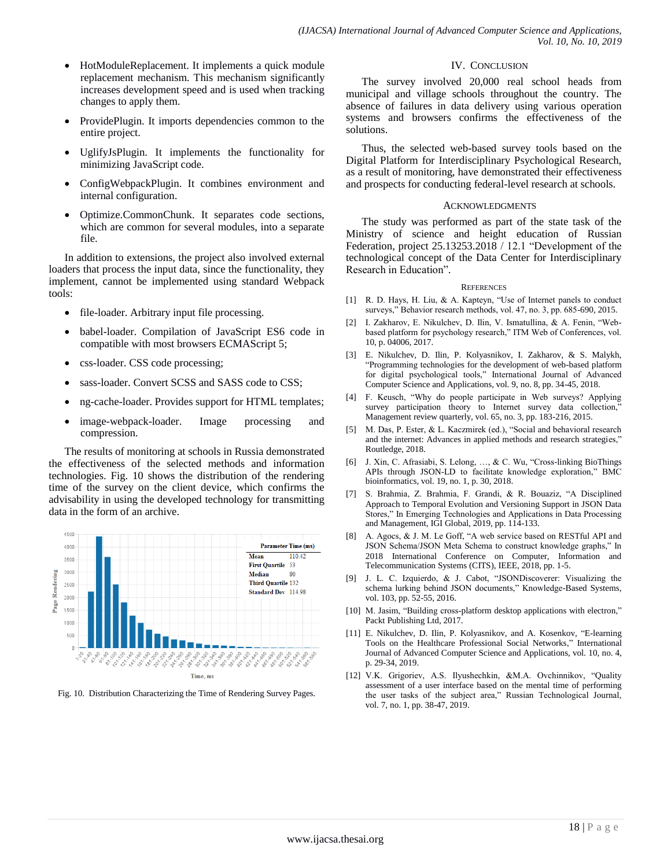- HotModuleReplacement. It implements a quick module replacement mechanism. This mechanism significantly increases development speed and is used when tracking changes to apply them.
- ProvidePlugin. It imports dependencies common to the entire project.
- UglifyJsPlugin. It implements the functionality for minimizing JavaScript code.
- ConfigWebpackPlugin. It combines environment and internal configuration.
- Optimize.CommonChunk. It separates code sections, which are common for several modules, into a separate file.

In addition to extensions, the project also involved external loaders that process the input data, since the functionality, they implement, cannot be implemented using standard Webpack tools:

- file-loader. Arbitrary input file processing.
- babel-loader. Compilation of JavaScript ES6 code in compatible with most browsers ECMAScript 5;
- css-loader. CSS code processing;
- sass-loader. Convert SCSS and SASS code to CSS;
- ng-cache-loader. Provides support for HTML templates;
- image-webpack-loader. Image processing and compression.

The results of monitoring at schools in Russia demonstrated the effectiveness of the selected methods and information technologies. Fig. 10 shows the distribution of the rendering time of the survey on the client device, which confirms the advisability in using the developed technology for transmitting data in the form of an archive.



Fig. 10. Distribution Characterizing the Time of Rendering Survey Pages.

## IV. CONCLUSION

The survey involved 20,000 real school heads from municipal and village schools throughout the country. The absence of failures in data delivery using various operation systems and browsers confirms the effectiveness of the solutions.

Thus, the selected web-based survey tools based on the Digital Platform for Interdisciplinary Psychological Research, as a result of monitoring, have demonstrated their effectiveness and prospects for conducting federal-level research at schools.

### **ACKNOWLEDGMENTS**

The study was performed as part of the state task of the Ministry of science and height education of Russian Federation, project 25.13253.2018 / 12.1 "Development of the technological concept of the Data Center for Interdisciplinary Research in Education".

#### **REFERENCES**

- [1] R. D. Hays, H. Liu, & A. Kapteyn, "Use of Internet panels to conduct surveys," Behavior research methods, vol. 47, no. 3, pp. 685-690, 2015.
- [2] I. Zakharov, E. Nikulchev, D. Ilin, V. Ismatullina, & A. Fenin, "Webbased platform for psychology research," ITM Web of Conferences, vol. 10, p. 04006, 2017.
- [3] E. Nikulchev, D. Ilin, P. Kolyasnikov, I. Zakharov, & S. Malykh, "Programming technologies for the development of web-based platform for digital psychological tools," International Journal of Advanced Computer Science and Applications, vol. 9, no. 8, pp. 34-45, 2018.
- [4] F. Keusch, "Why do people participate in Web surveys? Applying survey participation theory to Internet survey data collection,' Management review quarterly, vol. 65, no. 3, pp. 183-216, 2015.
- [5] M. Das, P. Ester, & L. Kaczmirek (ed.), "Social and behavioral research and the internet: Advances in applied methods and research strategies," Routledge, 2018.
- [6] J. Xin, C. Afrasiabi, S. Lelong, …, & C. Wu, "Cross-linking BioThings APIs through JSON-LD to facilitate knowledge exploration," BMC bioinformatics, vol. 19, no. 1, p. 30, 2018.
- [7] S. Brahmia, Z. Brahmia, F. Grandi, & R. Bouaziz, "A Disciplined Approach to Temporal Evolution and Versioning Support in JSON Data Stores," In Emerging Technologies and Applications in Data Processing and Management, IGI Global, 2019, pp. 114-133.
- [8] A. Agocs, & J. M. Le Goff, "A web service based on RESTful API and JSON Schema/JSON Meta Schema to construct knowledge graphs," In 2018 International Conference on Computer, Information and Telecommunication Systems (CITS), IEEE, 2018, pp. 1-5.
- [9] J. L. C. Izquierdo, & J. Cabot, "JSONDiscoverer: Visualizing the schema lurking behind JSON documents," Knowledge-Based Systems, vol. 103, pp. 52-55, 2016.
- [10] M. Jasim, "Building cross-platform desktop applications with electron," Packt Publishing Ltd, 2017.
- [11] E. Nikulchev, D. Ilin, P. Kolyasnikov, and A. Kosenkov, "E-learning Tools on the Healthcare Professional Social Networks," International Journal of Advanced Computer Science and Applications, vol. 10, no. 4, p. 29-34, 2019.
- [12] V.K. Grigoriev, A.S. Ilyushechkin, &M.A. Ovchinnikov, "Quality assessment of a user interface based on the mental time of performing the user tasks of the subject area," Russian Technological Journal, vol. 7, no. 1, pp. 38-47, 2019.